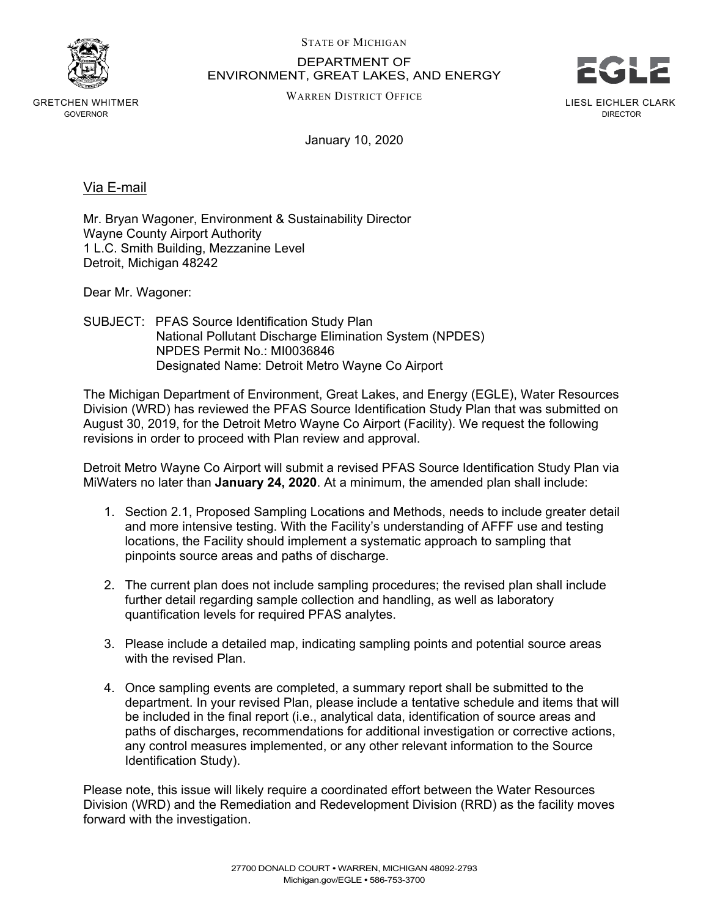

GRETCHEN WHITMER GOVERNOR

STATE OF MICHIGAN

DEPARTMENT OF ENVIRONMENT, GREAT LAKES, AND ENERGY



WARREN DISTRICT OFFICE

LIESL EICHLER CLARK DIRECTOR

January 10, 2020

Via E-mail

Mr. Bryan Wagoner, Environment & Sustainability Director Wayne County Airport Authority 1 L.C. Smith Building, Mezzanine Level Detroit, Michigan 48242

Dear Mr. Wagoner:

SUBJECT: PFAS Source Identification Study Plan National Pollutant Discharge Elimination System (NPDES) NPDES Permit No.: MI0036846 Designated Name: Detroit Metro Wayne Co Airport

The Michigan Department of Environment, Great Lakes, and Energy (EGLE), Water Resources Division (WRD) has reviewed the PFAS Source Identification Study Plan that was submitted on August 30, 2019, for the Detroit Metro Wayne Co Airport (Facility). We request the following revisions in order to proceed with Plan review and approval.

Detroit Metro Wayne Co Airport will submit a revised PFAS Source Identification Study Plan via MiWaters no later than **January 24, 2020**. At a minimum, the amended plan shall include:

- 1. Section 2.1, Proposed Sampling Locations and Methods, needs to include greater detail and more intensive testing. With the Facility's understanding of AFFF use and testing locations, the Facility should implement a systematic approach to sampling that pinpoints source areas and paths of discharge.
- 2. The current plan does not include sampling procedures; the revised plan shall include further detail regarding sample collection and handling, as well as laboratory quantification levels for required PFAS analytes.
- 3. Please include a detailed map, indicating sampling points and potential source areas with the revised Plan.
- 4. Once sampling events are completed, a summary report shall be submitted to the department. In your revised Plan, please include a tentative schedule and items that will be included in the final report (i.e., analytical data, identification of source areas and paths of discharges, recommendations for additional investigation or corrective actions, any control measures implemented, or any other relevant information to the Source Identification Study).

Please note, this issue will likely require a coordinated effort between the Water Resources Division (WRD) and the Remediation and Redevelopment Division (RRD) as the facility moves forward with the investigation.